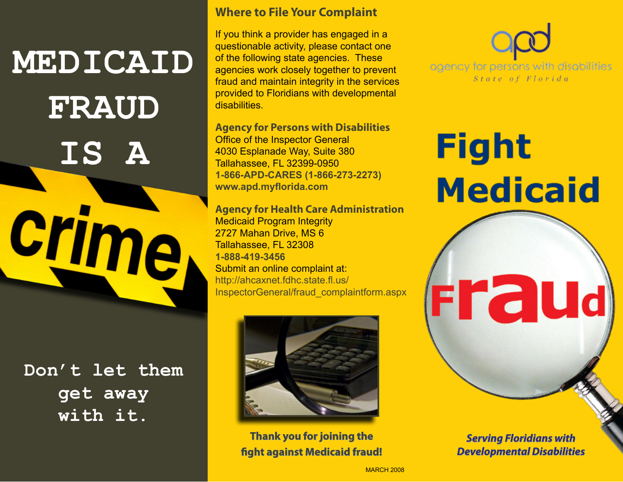## **MEDICAID FRAUD IS A**

**crime** 

**Don't let them get away with it.** 

#### **Where to File Your Complaint**

If you think a provider has engaged in a questionable activity, please contact one of the following state agencies. These agencies work closely together to prevent fraud and maintain integrity in the services provided to Floridians with developmental **disabilities** 

**Agency for Persons with Disabilities**  Office of the Inspector General 4030 Esplanade Way, Suite 380 Tallahassee, FL 32399-0950 **1-866-APD-CARES (1-866-273-2273) www.apd.myflorida.com**

**Agency for Health Care Administration**  Medicaid Program Integrity 2727 Mahan Drive, MS 6 Tallahassee, FL 32308 **1-888-419-3456**  Submit an online complaint at: http://ahcaxnet.fdhc.state.fl.us/ InspectorGeneral/fraud\_complaintform.aspx



**Thank you for joining the fight against Medicaid fraud!**  agency for persons with disabilities State of Florida

# **Fight Medicaid**

**Fraud**